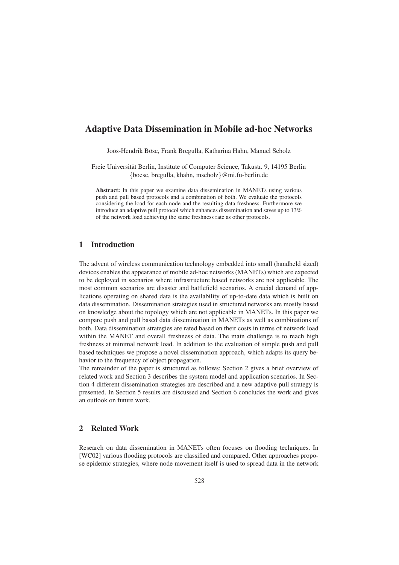# Adaptive Data Dissemination in Mobile ad-hoc Networks

Joos-Hendrik Böse, Frank Bregulla, Katharina Hahn, Manuel Scholz

Freie Universität Berlin, Institute of Computer Science, Takustr. 9, 14195 Berlin {boese, bregulla, khahn, mscholz}@mi.fu-berlin.de

Abstract: In this paper we examine data dissemination in MANETs using various push and pull based protocols and a combination of both. We evaluate the protocols considering the load for each node and the resulting data freshness. Furthermore we introduce an adaptive pull protocol which enhances dissemination and saves up to 13% of the network load achieving the same freshness rate as other protocols.

#### 1 Introduction

The advent of wireless communication technology embedded into small (handheld sized) devices enables the appearance of mobile ad-hoc networks (MANETs) which are expected to be deployed in scenarios where infrastructure based networks are not applicable. The most common scenarios are disaster and battlefield scenarios. A crucial demand of applications operating on shared data is the availability of up-to-date data which is built on data dissemination. Dissemination strategies used in structured networks are mostly based on knowledge about the topology which are not applicable in MANETs. In this paper we compare push and pull based data dissemination in MANETs as well as combinations of both. Data dissemination strategies are rated based on their costs in terms of network load within the MANET and overall freshness of data. The main challenge is to reach high freshness at minimal network load. In addition to the evaluation of simple push and pull based techniques we propose a novel dissemination approach, which adapts its query behavior to the frequency of object propagation.

The remainder of the paper is structured as follows: Section 2 gives a brief overview of related work and Section 3 describes the system model and application scenarios. In Section 4 different dissemination strategies are described and a new adaptive pull strategy is presented. In Section 5 results are discussed and Section 6 concludes the work and gives an outlook on future work.

## 2 Related Work

Research on data dissemination in MANETs often focuses on flooding techniques. In [WC02] various flooding protocols are classified and compared. Other approaches propose epidemic strategies, where node movement itself is used to spread data in the network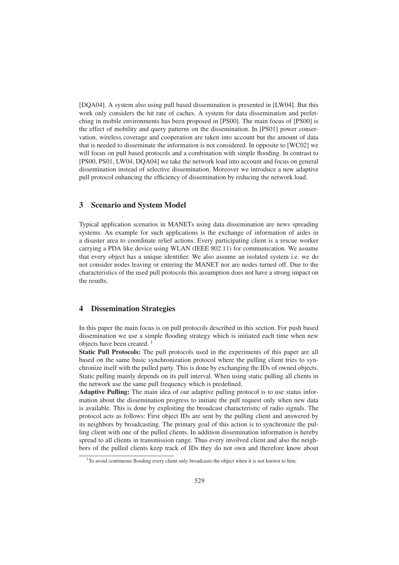[DQA04]. A system also using pull based dissemination is presented in [LW04]. But this work only considers the hit rate of caches. A system for data dissemination and prefetching in mobile environments has been proposed in [PS00]. The main focus of [PS00] is the effect of mobility and query patterns on the dissemination. In [PS01] power conservation, wireless coverage and cooperation are taken into account but the amount of data that is needed to disseminate the information is not considered. In opposite to [WC02] we will focus on pull based protocols and a combination with simple flooding. In contrast to [PS00, PS01, LW04, DQA04] we take the network load into account and focus on general dissemination instead of selective dissemination. Moreover we introduce a new adaptive pull protocol enhancing the efficiency of dissemination by reducing the network load.

#### 3 Scenario and System Model

Typical application scenarios in MANETs using data dissemination are news spreading systems. An example for such applications is the exchange of information of aides in a disaster area to coordinate relief actions. Every participating client is a rescue worker carrying a PDA like device using WLAN (IEEE 802.11) for communication. We assume that every object has a unique identifier. We also assume an isolated system i.e. we do not consider nodes leaving or entering the MANET nor are nodes turned off. Due to the characteristics of the used pull protocols this assumption does not have a strong impact on the results.

## 4 Dissemination Strategies

In this paper the main focus is on pull protocols described in this section. For push based dissemination we use a simple flooding strategy which is initiated each time when new objects have been created.<sup>1</sup>

Static Pull Protocols: The pull protocols used in the experiments of this paper are all based on the same basic synchronization protocol where the pulling client tries to synchronize itself with the pulled party. This is done by exchanging the IDs of owned objects. Static pulling mainly depends on its pull interval. When using static pulling all clients in the network use the same pull frequency which is predefined.

Adaptive Pulling: The main idea of our adaptive pulling protocol is to use status information about the dissemination progress to initiate the pull request only when new data is available. This is done by exploiting the broadcast characteristic of radio signals. The protocol acts as follows: First object IDs are sent by the pulling client and answered by its neighbors by broadcasting. The primary goal of this action is to synchronize the pulling client with one of the pulled clients. In addition dissemination information is hereby spread to all clients in transmission range. Thus every involved client and also the neighbors of the pulled clients keep track of IDs they do not own and therefore know about

<sup>&</sup>lt;sup>1</sup>To avoid continuous flooding every client only broadcasts the object when it is not known to him.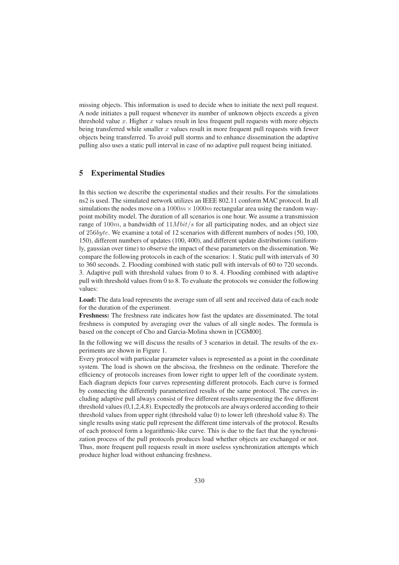missing objects. This information is used to decide when to initiate the next pull request. A node initiates a pull request whenever its number of unknown objects exceeds a given threshold value  $x$ . Higher  $x$  values result in less frequent pull requests with more objects being transferred while smaller  $x$  values result in more frequent pull requests with fewer objects being transferred. To avoid pull storms and to enhance dissemination the adaptive pulling also uses a static pull interval in case of no adaptive pull request being initiated.

# 5 Experimental Studies

In this section we describe the experimental studies and their results. For the simulations ns2 is used. The simulated network utilizes an IEEE 802.11 conform MAC protocol. In all simulations the nodes move on a  $1000m \times 1000m$  rectangular area using the random waypoint mobility model. The duration of all scenarios is one hour. We assume a transmission range of 100m, a bandwidth of  $11Mbit/s$  for all participating nodes, and an object size of 256byte. We examine a total of 12 scenarios with different numbers of nodes (50, 100, 150), different numbers of updates (100, 400), and different update distributions (uniformly, gaussian over time) to observe the impact of these parameters on the dissemination. We compare the following protocols in each of the scenarios: 1. Static pull with intervals of 30 to 360 seconds. 2. Flooding combined with static pull with intervals of 60 to 720 seconds. 3. Adaptive pull with threshold values from 0 to 8. 4. Flooding combined with adaptive pull with threshold values from 0 to 8. To evaluate the protocols we consider the following values:

Load: The data load represents the average sum of all sent and received data of each node for the duration of the experiment.

Freshness: The freshness rate indicates how fast the updates are disseminated. The total freshness is computed by averaging over the values of all single nodes. The formula is based on the concept of Cho and Garcia-Molina shown in [CGM00].

In the following we will discuss the results of 3 scenarios in detail. The results of the experiments are shown in Figure 1.

Every protocol with particular parameter values is represented as a point in the coordinate system. The load is shown on the abscissa, the freshness on the ordinate. Therefore the efficiency of protocols increases from lower right to upper left of the coordinate system. Each diagram depicts four curves representing different protocols. Each curve is formed by connecting the differently parameterized results of the same protocol. The curves including adaptive pull always consist of five different results representing the five different threshold values (0,1,2,4,8). Expectedly the protocols are always ordered according to their threshold values from upper right (threshold value 0) to lower left (threshold value 8). The single results using static pull represent the different time intervals of the protocol. Results of each protocol form a logarithmic-like curve. This is due to the fact that the synchronization process of the pull protocols produces load whether objects are exchanged or not. Thus, more frequent pull requests result in more useless synchronization attempts which produce higher load without enhancing freshness.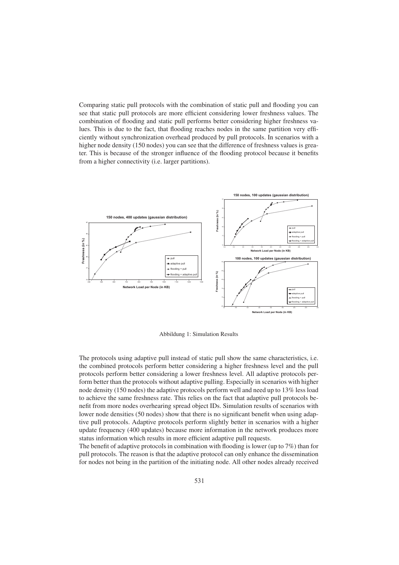Comparing static pull protocols with the combination of static pull and flooding you can see that static pull protocols are more efficient considering lower freshness values. The combination of flooding and static pull performs better considering higher freshness values. This is due to the fact, that flooding reaches nodes in the same partition very efficiently without synchronization overhead produced by pull protocols. In scenarios with a higher node density (150 nodes) you can see that the difference of freshness values is greater. This is because of the stronger influence of the flooding protocol because it benefits from a higher connectivity (i.e. larger partitions).



Abbildung 1: Simulation Results

The protocols using adaptive pull instead of static pull show the same characteristics, i.e. the combined protocols perform better considering a higher freshness level and the pull protocols perform better considering a lower freshness level. All adaptive protocols perform better than the protocols without adaptive pulling. Especially in scenarios with higher node density (150 nodes) the adaptive protocols perform well and need up to 13% less load to achieve the same freshness rate. This relies on the fact that adaptive pull protocols benefit from more nodes overhearing spread object IDs. Simulation results of scenarios with lower node densities (50 nodes) show that there is no significant benefit when using adaptive pull protocols. Adaptive protocols perform slightly better in scenarios with a higher update frequency (400 updates) because more information in the network produces more status information which results in more efficient adaptive pull requests.

The benefit of adaptive protocols in combination with flooding is lower (up to 7%) than for pull protocols. The reason is that the adaptive protocol can only enhance the dissemination for nodes not being in the partition of the initiating node. All other nodes already received